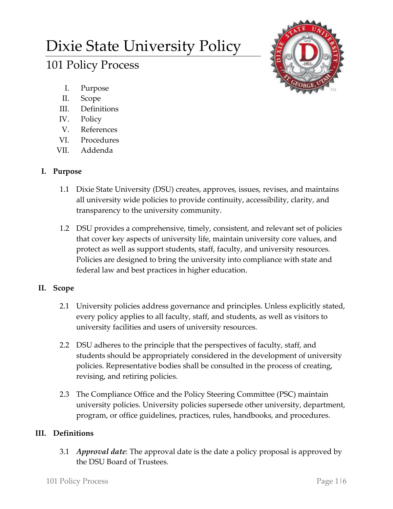# Dixie State University Policy

# 101 Policy Process

- I. Purpose
- II. Scope
- III. Definitions
- IV. Policy
- V. References
- VI. Procedures
- VII. Addenda

## **I. Purpose**

- 1.1 Dixie State University (DSU) creates, approves, issues, revises, and maintains all university wide policies to provide continuity, accessibility, clarity, and transparency to the university community.
- 1.2 DSU provides a comprehensive, timely, consistent, and relevant set of policies that cover key aspects of university life, maintain university core values, and protect as well as support students, staff, faculty, and university resources. Policies are designed to bring the university into compliance with state and federal law and best practices in higher education.

# **II. Scope**

- 2.1 University policies address governance and principles. Unless explicitly stated, every policy applies to all faculty, staff, and students, as well as visitors to university facilities and users of university resources.
- 2.2 DSU adheres to the principle that the perspectives of faculty, staff, and students should be appropriately considered in the development of university policies. Representative bodies shall be consulted in the process of creating, revising, and retiring policies.
- 2.3 The Compliance Office and the Policy Steering Committee (PSC) maintain university policies. University policies supersede other university, department, program, or office guidelines, practices, rules, handbooks, and procedures.

### **III. Definitions**

3.1 *Approval date*: The approval date is the date a policy proposal is approved by the DSU Board of Trustees.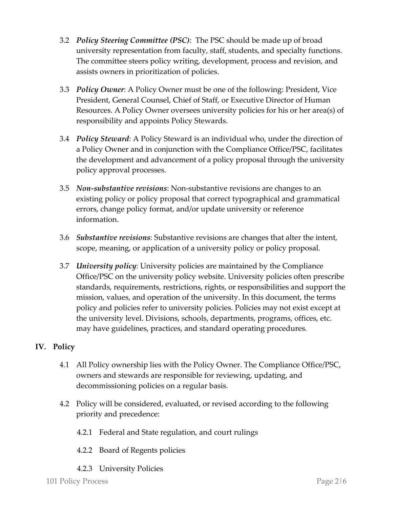- 3.2 *Policy Steering Committee (PSC)*: The PSC should be made up of broad university representation from faculty, staff, students, and specialty functions. The committee steers policy writing, development, process and revision, and assists owners in prioritization of policies.
- 3.3 *Policy Owner*: A Policy Owner must be one of the following: President, Vice President, General Counsel, Chief of Staff, or Executive Director of Human Resources. A Policy Owner oversees university policies for his or her area(s) of responsibility and appoints Policy Stewards.
- 3.4 *Policy Steward*: A Policy Steward is an individual who, under the direction of a Policy Owner and in conjunction with the Compliance Office/PSC, facilitates the development and advancement of a policy proposal through the university policy approval processes.
- 3.5 *Non-substantive revisions*: Non-substantive revisions are changes to an existing policy or policy proposal that correct typographical and grammatical errors, change policy format, and/or update university or reference information.
- 3.6 *Substantive revisions*: Substantive revisions are changes that alter the intent, scope, meaning, or application of a university policy or policy proposal.
- 3.7 *University policy*: University policies are maintained by the Compliance Office/PSC on the university policy website. University policies often prescribe standards, requirements, restrictions, rights, or responsibilities and support the mission, values, and operation of the university. In this document, the terms policy and policies refer to university policies. Policies may not exist except at the university level. Divisions, schools, departments, programs, offices, etc. may have guidelines, practices, and standard operating procedures.

### **IV. Policy**

- 4.1 All Policy ownership lies with the Policy Owner. The Compliance Office/PSC, owners and stewards are responsible for reviewing, updating, and decommissioning policies on a regular basis.
- 4.2 Policy will be considered, evaluated, or revised according to the following priority and precedence:
	- 4.2.1 Federal and State regulation, and court rulings
	- 4.2.2 Board of Regents policies
	- 4.2.3 University Policies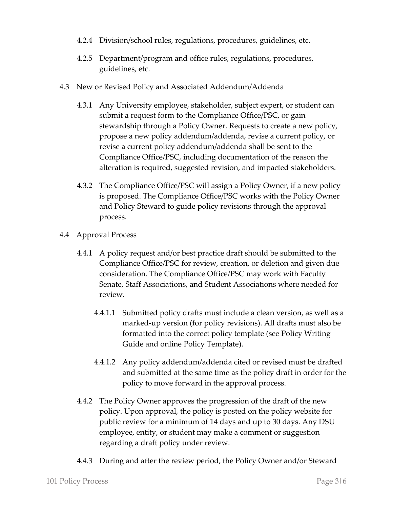- 4.2.4 Division/school rules, regulations, procedures, guidelines, etc.
- 4.2.5 Department/program and office rules, regulations, procedures, guidelines, etc.
- 4.3 New or Revised Policy and Associated Addendum/Addenda
	- 4.3.1 Any University employee, stakeholder, subject expert, or student can submit a request form to the Compliance Office/PSC, or gain stewardship through a Policy Owner. Requests to create a new policy, propose a new policy addendum/addenda, revise a current policy, or revise a current policy addendum/addenda shall be sent to the Compliance Office/PSC, including documentation of the reason the alteration is required, suggested revision, and impacted stakeholders.
	- 4.3.2 The Compliance Office/PSC will assign a Policy Owner, if a new policy is proposed. The Compliance Office/PSC works with the Policy Owner and Policy Steward to guide policy revisions through the approval process.
- 4.4 Approval Process
	- 4.4.1 A policy request and/or best practice draft should be submitted to the Compliance Office/PSC for review, creation, or deletion and given due consideration. The Compliance Office/PSC may work with Faculty Senate, Staff Associations, and Student Associations where needed for review.
		- 4.4.1.1 Submitted policy drafts must include a clean version, as well as a marked-up version (for policy revisions). All drafts must also be formatted into the correct policy template (see Policy Writing Guide and online Policy Template).
		- 4.4.1.2 Any policy addendum/addenda cited or revised must be drafted and submitted at the same time as the policy draft in order for the policy to move forward in the approval process.
	- 4.4.2 The Policy Owner approves the progression of the draft of the new policy. Upon approval, the policy is posted on the policy website for public review for a minimum of 14 days and up to 30 days. Any DSU employee, entity, or student may make a comment or suggestion regarding a draft policy under review.
	- 4.4.3 During and after the review period, the Policy Owner and/or Steward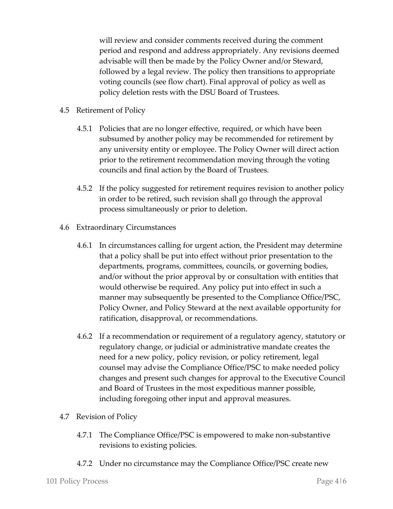will review and consider comments received during the comment period and respond and address appropriately. Any revisions deemed advisable will then be made by the Policy Owner and/or Steward, followed by a legal review. The policy then transitions to appropriate voting councils (see flow chart). Final approval of policy as well as policy deletion rests with the DSU Board of Trustees.

- 4.5 Retirement of Policy
	- 4.5.1 Policies that are no longer effective, required, or which have been subsumed by another policy may be recommended for retirement by any university entity or employee. The Policy Owner will direct action prior to the retirement recommendation moving through the voting councils and final action by the Board of Trustees.
	- 4.5.2 If the policy suggested for retirement requires revision to another policy in order to be retired, such revision shall go through the approval process simultaneously or prior to deletion.
- 4.6 Extraordinary Circumstances
	- 4.6.1 In circumstances calling for urgent action, the President may determine that a policy shall be put into effect without prior presentation to the departments, programs, committees, councils, or governing bodies, and/or without the prior approval by or consultation with entities that would otherwise be required. Any policy put into effect in such a manner may subsequently be presented to the Compliance Office/PSC, Policy Owner, and Policy Steward at the next available opportunity for ratification, disapproval, or recommendations.
	- 4.6.2 If a recommendation or requirement of a regulatory agency, statutory or regulatory change, or judicial or administrative mandate creates the need for a new policy, policy revision, or policy retirement, legal counsel may advise the Compliance Office/PSC to make needed policy changes and present such changes for approval to the Executive Council and Board of Trustees in the most expeditious manner possible, including foregoing other input and approval measures.
- 4.7 Revision of Policy
	- 4.7.1 The Compliance Office/PSC is empowered to make non-substantive revisions to existing policies.
	- 4.7.2 Under no circumstance may the Compliance Office/PSC create new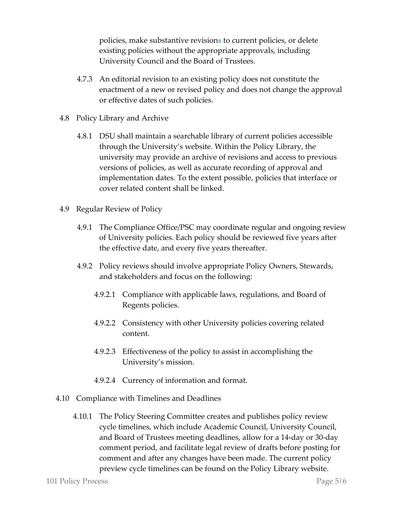policies, make substantive revisions to current policies, or delete existing policies without the appropriate approvals, including University Council and the Board of Trustees.

- 4.7.3 An editorial revision to an existing policy does not constitute the enactment of a new or revised policy and does not change the approval or effective dates of such policies.
- 4.8 Policy Library and Archive
	- 4.8.1 DSU shall maintain a searchable library of current policies accessible through the University's website. Within the Policy Library, the university may provide an archive of revisions and access to previous versions of policies, as well as accurate recording of approval and implementation dates. To the extent possible, policies that interface or cover related content shall be linked.
- 4.9 Regular Review of Policy
	- 4.9.1 The Compliance Office/PSC may coordinate regular and ongoing review of University policies. Each policy should be reviewed five years after the effective date, and every five years thereafter.
	- 4.9.2 Policy reviews should involve appropriate Policy Owners, Stewards, and stakeholders and focus on the following:
		- 4.9.2.1 Compliance with applicable laws, regulations, and Board of Regents policies.
		- 4.9.2.2 Consistency with other University policies covering related content.
		- 4.9.2.3 Effectiveness of the policy to assist in accomplishing the University's mission.
		- 4.9.2.4 Currency of information and format.
- 4.10 Compliance with Timelines and Deadlines
	- 4.10.1 The Policy Steering Committee creates and publishes policy review cycle timelines, which include Academic Council, University Council, and Board of Trustees meeting deadlines, allow for a 14-day or 30-day comment period, and facilitate legal review of drafts before posting for comment and after any changes have been made. The current policy preview cycle timelines can be found on the Policy Library website.